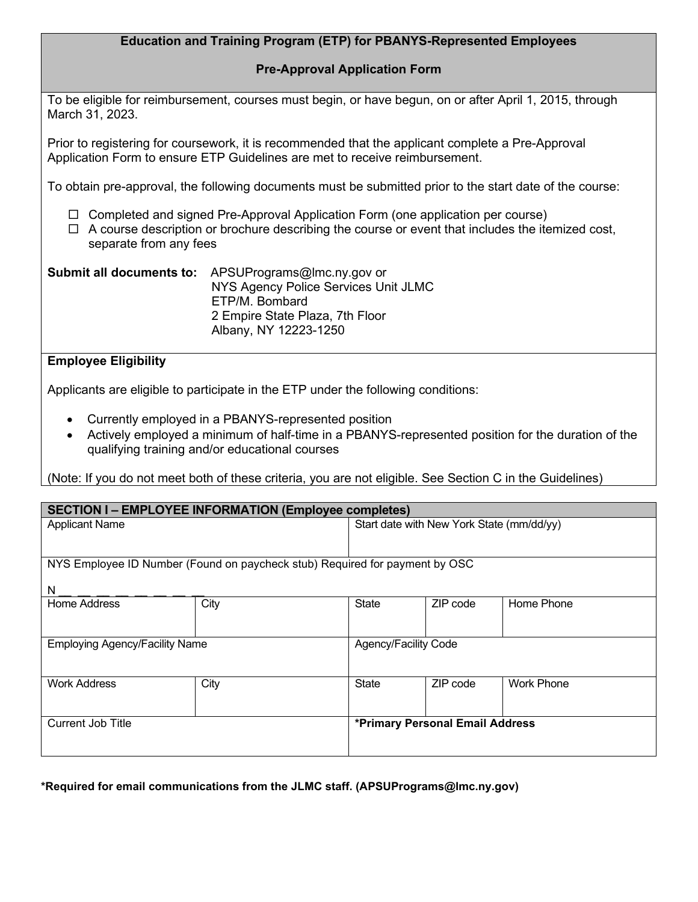## **Education and Training Program (ETP) for PBANYS-Represented Employees**

## **Pre-Approval Application Form**

To be eligible for reimbursement, courses must begin, or have begun, on or after April 1, 2015, through March 31, 2023.

Prior to registering for coursework, it is recommended that the applicant complete a Pre-Approval Application Form to ensure ETP Guidelines are met to receive reimbursement.

To obtain pre-approval, the following documents must be submitted prior to the start date of the course:

- $\Box$  Completed and signed Pre-Approval Application Form (one application per course)
- $\Box$  A course description or brochure describing the course or event that includes the itemized cost, separate from any fees

| Submit all documents to: | APSUPrograms@lmc.ny.gov or           |  |  |
|--------------------------|--------------------------------------|--|--|
|                          | NYS Agency Police Services Unit JLMC |  |  |
|                          | ETP/M. Bombard                       |  |  |
|                          | 2 Empire State Plaza, 7th Floor      |  |  |
|                          | Albany, NY 12223-1250                |  |  |

## **Employee Eligibility**

Applicants are eligible to participate in the ETP under the following conditions:

- Currently employed in a PBANYS-represented position
- Actively employed a minimum of half-time in a PBANYS-represented position for the duration of the qualifying training and/or educational courses

(Note: If you do not meet both of these criteria, you are not eligible. See Section C in the Guidelines)

| <b>SECTION I-EMPLOYEE INFORMATION (Employee completes)</b>                  |      |                                           |          |                   |  |
|-----------------------------------------------------------------------------|------|-------------------------------------------|----------|-------------------|--|
| <b>Applicant Name</b>                                                       |      | Start date with New York State (mm/dd/yy) |          |                   |  |
|                                                                             |      |                                           |          |                   |  |
| NYS Employee ID Number (Found on paycheck stub) Required for payment by OSC |      |                                           |          |                   |  |
| N                                                                           |      |                                           |          |                   |  |
| Home Address                                                                | City | State                                     | ZIP code | Home Phone        |  |
|                                                                             |      |                                           |          |                   |  |
| <b>Employing Agency/Facility Name</b>                                       |      | Agency/Facility Code                      |          |                   |  |
|                                                                             |      |                                           |          |                   |  |
| <b>Work Address</b>                                                         | City | <b>State</b>                              | ZIP code | <b>Work Phone</b> |  |
|                                                                             |      |                                           |          |                   |  |
| <b>Current Job Title</b>                                                    |      | *Primary Personal Email Address           |          |                   |  |
|                                                                             |      |                                           |          |                   |  |

**\*Required for email communications from the JLMC staff. (APSUPrograms@lmc.ny.gov)**